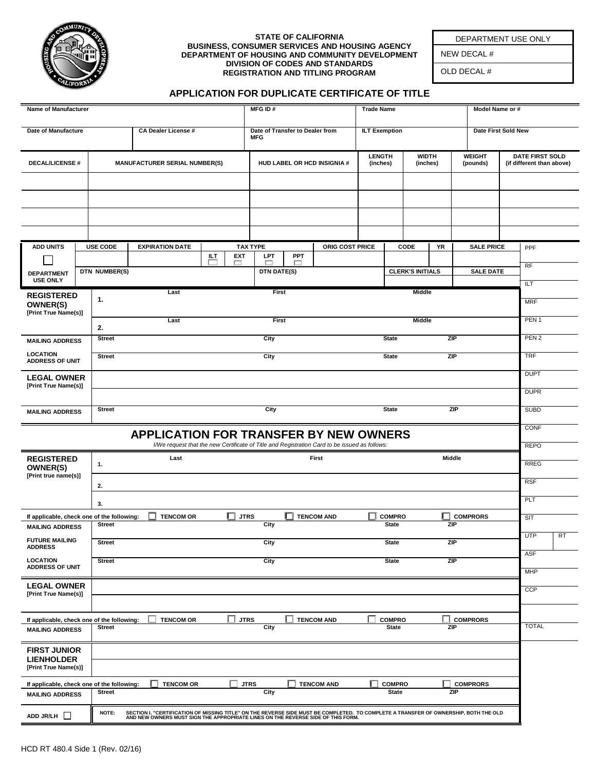

#### **STATE OF CALIFORNIA BUSINESS, CONSUMER SERVICES AND HOUSING AGENCY DEPARTMENT OF HOUSING AND COMMUNITY DEVELOPMENT DIVISION OF CODES AND STANDARDS REGISTRATION AND TITLING PROGRAM**

DEPARTMENT USE ONLY

NEW DECAL #

OLD DECAL #

#### **APPLICATION FOR DUPLICATE CERTIFICATE OF TITLE**

| Name of Manufacturer                                                                                                                                   |  |                                              |                                                                                                                                                                                                                          |                    | MFG ID#                                       |            |                   | <b>Trade Name</b>                              |                               |                         |    |                                                                                  | Model Name or #     |  |              |           |
|--------------------------------------------------------------------------------------------------------------------------------------------------------|--|----------------------------------------------|--------------------------------------------------------------------------------------------------------------------------------------------------------------------------------------------------------------------------|--------------------|-----------------------------------------------|------------|-------------------|------------------------------------------------|-------------------------------|-------------------------|----|----------------------------------------------------------------------------------|---------------------|--|--------------|-----------|
| <b>Date of Manufacture</b>                                                                                                                             |  | <b>CA Dealer License #</b>                   |                                                                                                                                                                                                                          |                    | Date of Transfer to Dealer from<br><b>MFG</b> |            |                   | <b>ILT Exemption</b>                           |                               |                         |    |                                                                                  | Date First Sold New |  |              |           |
| <b>DECAL/LICENSE#</b>                                                                                                                                  |  | <b>MANUFACTURER SERIAL NUMBER(S)</b>         |                                                                                                                                                                                                                          |                    | HUD LABEL OR HCD INSIGNIA #                   |            |                   | LENGTH<br><b>WIDTH</b><br>(inches)<br>(inches) |                               |                         |    | <b>WEIGHT</b><br><b>DATE FIRST SOLD</b><br>(pounds)<br>(if different than above) |                     |  |              |           |
|                                                                                                                                                        |  |                                              |                                                                                                                                                                                                                          |                    |                                               |            |                   |                                                |                               |                         |    |                                                                                  |                     |  |              |           |
|                                                                                                                                                        |  |                                              |                                                                                                                                                                                                                          |                    |                                               |            |                   |                                                |                               |                         |    |                                                                                  |                     |  |              |           |
|                                                                                                                                                        |  |                                              |                                                                                                                                                                                                                          |                    |                                               |            |                   |                                                |                               |                         |    |                                                                                  |                     |  |              |           |
|                                                                                                                                                        |  |                                              |                                                                                                                                                                                                                          |                    |                                               |            |                   |                                                |                               |                         |    |                                                                                  |                     |  |              |           |
| <b>ADD UNITS</b>                                                                                                                                       |  | <b>USE CODE</b>                              | <b>EXPIRATION DATE</b>                                                                                                                                                                                                   | ILT.<br><b>EXT</b> | <b>TAX TYPE</b><br><b>LPT</b>                 | <b>PPT</b> | ORIG COST PRICE   |                                                |                               | CODE                    | YR |                                                                                  | <b>SALE PRICE</b>   |  | PPF          |           |
| <b>DEPARTMENT</b>                                                                                                                                      |  | DTN NUMBER(S)                                |                                                                                                                                                                                                                          | □                  | ┍<br>DTN DATE(S)                              | ┍          |                   |                                                |                               | <b>CLERK'S INITIALS</b> |    |                                                                                  | <b>SALE DATE</b>    |  | <b>RF</b>    |           |
| <b>USE ONLY</b><br><b>REGISTERED</b>                                                                                                                   |  |                                              |                                                                                                                                                                                                                          | First              |                                               |            |                   | Middle                                         |                               |                         |    |                                                                                  | ILT                 |  |              |           |
| <b>OWNER(S)</b><br>[Print True Name(s)]                                                                                                                |  | 1.                                           |                                                                                                                                                                                                                          |                    |                                               |            |                   |                                                |                               |                         |    |                                                                                  |                     |  | <b>MRF</b>   |           |
|                                                                                                                                                        |  | 2.                                           |                                                                                                                                                                                                                          | First              |                                               |            | <b>Middle</b>     |                                                |                               |                         |    |                                                                                  | PEN <sub>1</sub>    |  |              |           |
| <b>MAILING ADDRESS</b>                                                                                                                                 |  | City<br><b>State</b><br>ZIP<br><b>Street</b> |                                                                                                                                                                                                                          |                    |                                               |            |                   |                                                | PEN <sub>2</sub>              |                         |    |                                                                                  |                     |  |              |           |
| <b>LOCATION</b><br><b>ADDRESS OF UNIT</b>                                                                                                              |  | <b>Street</b>                                |                                                                                                                                                                                                                          |                    | City                                          |            |                   |                                                | <b>State</b>                  |                         |    | ZIP                                                                              |                     |  | <b>TRF</b>   |           |
| <b>LEGAL OWNER</b><br>[Print True Name(s)]                                                                                                             |  |                                              |                                                                                                                                                                                                                          |                    |                                               |            |                   |                                                |                               |                         |    |                                                                                  |                     |  | <b>DUPT</b>  |           |
|                                                                                                                                                        |  |                                              |                                                                                                                                                                                                                          |                    |                                               |            |                   |                                                |                               |                         |    |                                                                                  |                     |  | <b>DUPR</b>  |           |
| <b>MAILING ADDRESS</b>                                                                                                                                 |  | <b>Street</b>                                |                                                                                                                                                                                                                          |                    | City                                          |            |                   |                                                | <b>State</b>                  |                         |    | ZIP                                                                              |                     |  | <b>SUBD</b>  |           |
| CONF<br><b>APPLICATION FOR TRANSFER BY NEW OWNERS</b><br>I/We request that the new Certificate of Title and Registration Card to be issued as follows: |  |                                              |                                                                                                                                                                                                                          |                    |                                               |            | <b>REPO</b>       |                                                |                               |                         |    |                                                                                  |                     |  |              |           |
| <b>REGISTERED</b><br>OWNER(S)                                                                                                                          |  | 1.                                           | Last                                                                                                                                                                                                                     |                    |                                               |            | First             |                                                |                               |                         |    | Middle                                                                           |                     |  | <b>RREG</b>  |           |
| [Print true name(s)]                                                                                                                                   |  | 2.                                           |                                                                                                                                                                                                                          |                    |                                               |            |                   |                                                |                               |                         |    |                                                                                  |                     |  | <b>RSF</b>   |           |
|                                                                                                                                                        |  | 3.                                           |                                                                                                                                                                                                                          |                    |                                               |            |                   |                                                |                               |                         |    |                                                                                  |                     |  | PLT          |           |
| If applicable, check one of the following:                                                                                                             |  |                                              | <b>TENCOM OR</b>                                                                                                                                                                                                         | П                  | <b>JTRS</b>                                   |            | <b>TENCOM AND</b> |                                                | $\Box$ compro                 |                         |    | <b>COMPRORS</b>                                                                  |                     |  | SIT          |           |
| <b>MAILING ADDRESS</b>                                                                                                                                 |  | <b>Street</b>                                |                                                                                                                                                                                                                          |                    | City                                          |            |                   |                                                | <b>State</b>                  |                         |    | ZIP                                                                              |                     |  | <b>UTP</b>   | <b>RT</b> |
| <b>FUTURE MAILING</b><br><b>ADDRESS</b>                                                                                                                |  | <b>Street</b>                                |                                                                                                                                                                                                                          |                    | City                                          |            |                   |                                                | <b>State</b>                  |                         |    | ZIP                                                                              |                     |  | <b>ASF</b>   |           |
| <b>LOCATION</b><br><b>ADDRESS OF UNIT</b>                                                                                                              |  | <b>Street</b>                                |                                                                                                                                                                                                                          |                    | City                                          |            |                   |                                                | <b>State</b>                  |                         |    | ZIP                                                                              |                     |  | <b>MHP</b>   |           |
| <b>LEGAL OWNER</b>                                                                                                                                     |  |                                              |                                                                                                                                                                                                                          |                    |                                               |            |                   |                                                |                               |                         |    |                                                                                  |                     |  | <b>CCP</b>   |           |
| [Print True Name(s)]                                                                                                                                   |  |                                              |                                                                                                                                                                                                                          |                    |                                               |            |                   |                                                |                               |                         |    |                                                                                  |                     |  |              |           |
| If applicable, check one of the following:                                                                                                             |  | <b>Street</b>                                | <b>TENCOM OR</b>                                                                                                                                                                                                         |                    | <b>JTRS</b><br>City                           |            | <b>TENCOM AND</b> |                                                | <b>COMPRO</b><br><b>State</b> |                         |    | <b>COMPRORS</b><br>ZIP                                                           |                     |  | <b>TOTAL</b> |           |
| <b>MAILING ADDRESS</b>                                                                                                                                 |  |                                              |                                                                                                                                                                                                                          |                    |                                               |            |                   |                                                |                               |                         |    |                                                                                  |                     |  |              |           |
| <b>FIRST JUNIOR</b><br><b>LIENHOLDER</b><br>[Print True Name(s)]                                                                                       |  |                                              |                                                                                                                                                                                                                          |                    |                                               |            |                   |                                                |                               |                         |    |                                                                                  |                     |  |              |           |
| If applicable, check one of the following:                                                                                                             |  |                                              | <b>TENCOM OR</b>                                                                                                                                                                                                         |                    | <b>JTRS</b>                                   |            | <b>TENCOM AND</b> |                                                | <b>COMPRO</b>                 |                         |    | <b>COMPRORS</b>                                                                  |                     |  |              |           |
| <b>MAILING ADDRESS</b>                                                                                                                                 |  | <b>Street</b>                                |                                                                                                                                                                                                                          |                    | City                                          |            |                   |                                                | <b>State</b>                  |                         |    | ZIP                                                                              |                     |  |              |           |
| ADD JR/LH                                                                                                                                              |  | NOTE:                                        | SECTION I, "CERTIFICATION OF MISSING TITLE" ON THE REVERSE SIDE MUST BE COMPLETED. TO COMPLETE A TRANSFER OF OWNERSHIP, BOTH THE OLD<br>AND NEW OWNERS MUST SIGN THE APPROPRIATE LINES ON THE REVERSE SIDE OF THIS FORM. |                    |                                               |            |                   |                                                |                               |                         |    |                                                                                  |                     |  |              |           |